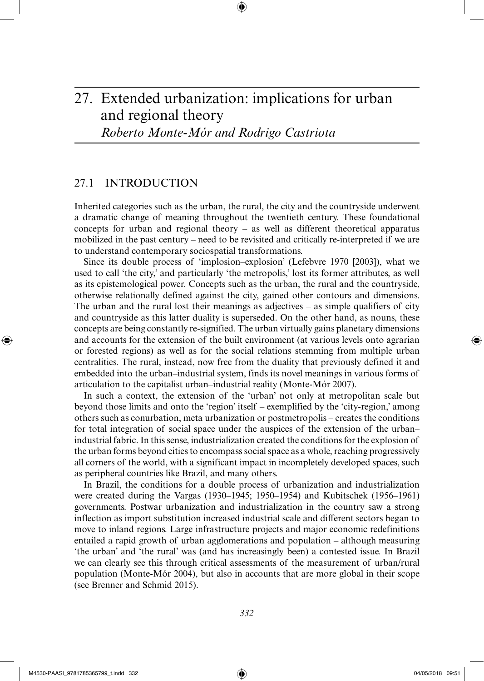# 27. Extended urbanization: implications for urban and regional theory *Roberto Monte-Mór and Rodrigo Castriota*

⊕

27.1 INTRODUCTION

Inherited categories such as the urban, the rural, the city and the countryside underwent a dramatic change of meaning throughout the twentieth century. These foundational concepts for urban and regional theory  $-$  as well as different theoretical apparatus mobilized in the past century – need to be revisited and critically re-interpreted if we are to understand contemporary sociospatial transformations.

Since its double process of 'implosion–explosion' (Lefebvre 1970 [2003]), what we used to call 'the city,' and particularly 'the metropolis,' lost its former attributes, as well as its epistemological power. Concepts such as the urban, the rural and the countryside, otherwise relationally defined against the city, gained other contours and dimensions. The urban and the rural lost their meanings as adjectives – as simple qualifiers of city and countryside as this latter duality is superseded. On the other hand, as nouns, these concepts are being constantly re-signified. The urban virtually gains planetary dimensions and accounts for the extension of the built environment (at various levels onto agrarian or forested regions) as well as for the social relations stemming from multiple urban centralities. The rural, instead, now free from the duality that previously defined it and embedded into the urban–industrial system, finds its novel meanings in various forms of articulation to the capitalist urban–industrial reality (Monte-Mór 2007).

In such a context, the extension of the 'urban' not only at metropolitan scale but beyond those limits and onto the 'region' itself – exemplified by the 'city-region,' among others such as conurbation, meta urbanization or postmetropolis – creates the conditions for total integration of social space under the auspices of the extension of the urban– industrial fabric. In this sense, industrialization created the conditions for the explosion of the urban forms beyond cities to encompass social space as a whole, reaching progressively all corners of the world, with a significant impact in incompletely developed spaces, such as peripheral countries like Brazil, and many others.

In Brazil, the conditions for a double process of urbanization and industrialization were created during the Vargas (1930–1945; 1950–1954) and Kubitschek (1956–1961) governments. Postwar urbanization and industrialization in the country saw a strong inflection as import substitution increased industrial scale and different sectors began to move to inland regions. Large infrastructure projects and major economic redefinitions entailed a rapid growth of urban agglomerations and population – although measuring 'the urban' and 'the rural' was (and has increasingly been) a contested issue. In Brazil we can clearly see this through critical assessments of the measurement of urban/rural population (Monte-Mór 2004), but also in accounts that are more global in their scope (see Brenner and Schmid 2015).

M4530-PAASI\_9781785365799\_t.indd 332 04/05/2018 09:51

◈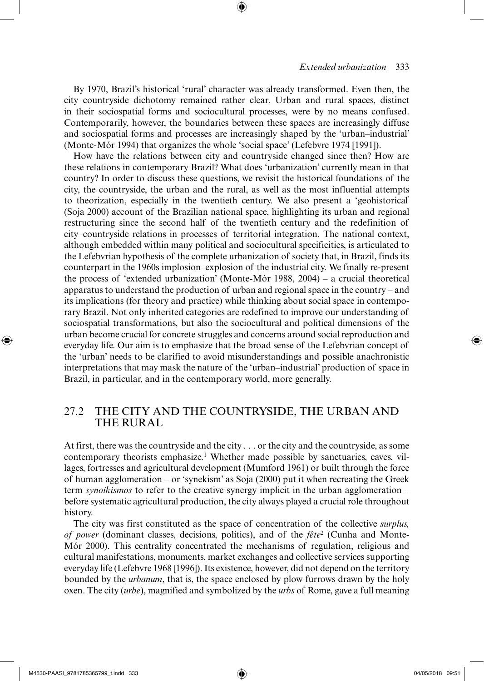By 1970, Brazil's historical 'rural' character was already transformed. Even then, the city–countryside dichotomy remained rather clear. Urban and rural spaces, distinct in their sociospatial forms and sociocultural processes, were by no means confused. Contemporarily, however, the boundaries between these spaces are increasingly diffuse and sociospatial forms and processes are increasingly shaped by the 'urban–industrial' (Monte-Mór 1994) that organizes the whole 'social space' (Lefebvre 1974 [1991]).

⊕

How have the relations between city and countryside changed since then? How are these relations in contemporary Brazil? What does 'urbanization' currently mean in that country? In order to discuss these questions, we revisit the historical foundations of the city, the countryside, the urban and the rural, as well as the most influential attempts to theorization, especially in the twentieth century. We also present a 'geohistorical' (Soja 2000) account of the Brazilian national space, highlighting its urban and regional restructuring since the second half of the twentieth century and the redefinition of city–countryside relations in processes of territorial integration. The national context, although embedded within many political and sociocultural specificities, is articulated to the Lefebvrian hypothesis of the complete urbanization of society that, in Brazil, finds its counterpart in the 1960s implosion–explosion of the industrial city. We finally re-present the process of 'extended urbanization' (Monte-Mór 1988, 2004) – a crucial theoretical apparatus to understand the production of urban and regional space in the country – and its implications (for theory and practice) while thinking about social space in contemporary Brazil. Not only inherited categories are redefined to improve our understanding of sociospatial transformations, but also the sociocultural and political dimensions of the urban become crucial for concrete struggles and concerns around social reproduction and everyday life. Our aim is to emphasize that the broad sense of the Lefebvrian concept of the 'urban' needs to be clarified to avoid misunderstandings and possible anachronistic interpretations that may mask the nature of the 'urban–industrial' production of space in Brazil, in particular, and in the contemporary world, more generally.

# 27.2 THE CITY AND THE COUNTRYSIDE, THE URBAN AND THE RURAL

At first, there was the countryside and the city . . . or the city and the countryside, as some contemporary theorists emphasize.<sup>1</sup> Whether made possible by sanctuaries, caves, villages, fortresses and agricultural development (Mumford 1961) or built through the force of human agglomeration – or 'synekism' as Soja (2000) put it when recreating the Greek term *synoikismos* to refer to the creative synergy implicit in the urban agglomeration – before systematic agricultural production, the city always played a crucial role throughout history.

The city was first constituted as the space of concentration of the collective *surplus, of power* (dominant classes, decisions, politics), and of the *fête*<sup>2</sup> (Cunha and Monte-Mór 2000). This centrality concentrated the mechanisms of regulation, religious and cultural manifestations, monuments, market exchanges and collective services supporting everyday life (Lefebvre 1968 [1996]). Its existence, however, did not depend on the territory bounded by the *urbanum*, that is, the space enclosed by plow furrows drawn by the holy oxen. The city (*urbe*), magnified and symbolized by the *urbs* of Rome, gave a full meaning

◈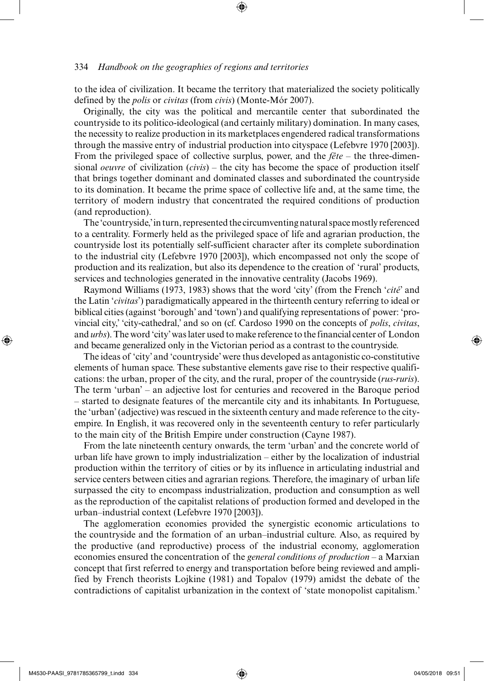to the idea of civilization. It became the territory that materialized the society politically defined by the *polis* or *civitas* (from *civis*) (Monte-Mór 2007).

⊕

Originally, the city was the political and mercantile center that subordinated the countryside to its politico-ideological (and certainly military) domination. In many cases, the necessity to realize production in its marketplaces engendered radical transformations through the massive entry of industrial production into cityspace (Lefebvre 1970 [2003]). From the privileged space of collective surplus, power, and the *fête* – the three-dimensional *oeuvre* of civilization (*civis*) – the city has become the space of production itself that brings together dominant and dominated classes and subordinated the countryside to its domination. It became the prime space of collective life and, at the same time, the territory of modern industry that concentrated the required conditions of production (and reproduction).

The 'countryside,' in turn, represented the circumventing natural space mostly referenced to a centrality. Formerly held as the privileged space of life and agrarian production, the countryside lost its potentially self-sufficient character after its complete subordination to the industrial city (Lefebvre 1970 [2003]), which encompassed not only the scope of production and its realization, but also its dependence to the creation of 'rural' products, services and technologies generated in the innovative centrality (Jacobs 1969).

Raymond Williams (1973, 1983) shows that the word 'city' (from the French '*cité*' and the Latin '*civitas*') paradigmatically appeared in the thirteenth century referring to ideal or biblical cities (against 'borough' and 'town') and qualifying representations of power: 'provincial city,' 'city-cathedral,' and so on (cf. Cardoso 1990 on the concepts of *polis*, *civitas*, and *urbs*). The word 'city' was later used to make reference to the financial center of London and became generalized only in the Victorian period as a contrast to the countryside.

The ideas of 'city' and 'countryside' were thus developed as antagonistic co-constitutive elements of human space. These substantive elements gave rise to their respective qualifications: the urban, proper of the city, and the rural, proper of the countryside (*rus-ruris*). The term 'urban' – an adjective lost for centuries and recovered in the Baroque period – started to designate features of the mercantile city and its inhabitants. In Portuguese, the 'urban' (adjective) was rescued in the sixteenth century and made reference to the cityempire. In English, it was recovered only in the seventeenth century to refer particularly to the main city of the British Empire under construction (Cayne 1987).

From the late nineteenth century onwards, the term 'urban' and the concrete world of urban life have grown to imply industrialization – either by the localization of industrial production within the territory of cities or by its influence in articulating industrial and service centers between cities and agrarian regions. Therefore, the imaginary of urban life surpassed the city to encompass industrialization, production and consumption as well as the reproduction of the capitalist relations of production formed and developed in the urban–industrial context (Lefebvre 1970 [2003]).

The agglomeration economies provided the synergistic economic articulations to the countryside and the formation of an urban–industrial culture. Also, as required by the productive (and reproductive) process of the industrial economy, agglomeration economies ensured the concentration of the *general conditions of production* – a Marxian concept that first referred to energy and transportation before being reviewed and amplified by French theorists Lojkine (1981) and Topalov (1979) amidst the debate of the contradictions of capitalist urbanization in the context of 'state monopolist capitalism.'

◈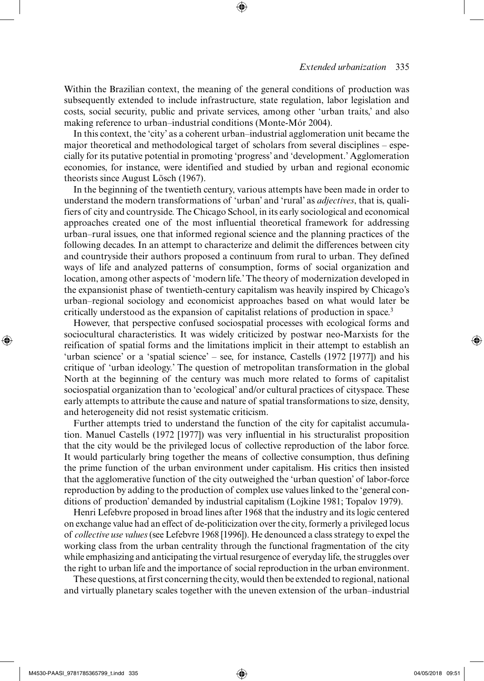Within the Brazilian context, the meaning of the general conditions of production was subsequently extended to include infrastructure, state regulation, labor legislation and costs, social security, public and private services, among other 'urban traits,' and also making reference to urban–industrial conditions (Monte-Mór 2004).

⊕

In this context, the 'city' as a coherent urban–industrial agglomeration unit became the major theoretical and methodological target of scholars from several disciplines – especially for its putative potential in promoting 'progress' and 'development.' Agglomeration economies, for instance, were identified and studied by urban and regional economic theorists since August Lösch (1967).

In the beginning of the twentieth century, various attempts have been made in order to understand the modern transformations of 'urban' and 'rural' as *adjectives*, that is, qualifiers of city and countryside. The Chicago School, in its early sociological and economical approaches created one of the most influential theoretical framework for addressing urban–rural issues, one that informed regional science and the planning practices of the following decades. In an attempt to characterize and delimit the differences between city and countryside their authors proposed a continuum from rural to urban. They defined ways of life and analyzed patterns of consumption, forms of social organization and location, among other aspects of 'modern life.' The theory of modernization developed in the expansionist phase of twentieth-century capitalism was heavily inspired by Chicago's urban–regional sociology and economicist approaches based on what would later be critically understood as the expansion of capitalist relations of production in space.3

However, that perspective confused sociospatial processes with ecological forms and sociocultural characteristics. It was widely criticized by postwar neo-Marxists for the reification of spatial forms and the limitations implicit in their attempt to establish an 'urban science' or a 'spatial science' – see, for instance, Castells (1972 [1977]) and his critique of 'urban ideology.' The question of metropolitan transformation in the global North at the beginning of the century was much more related to forms of capitalist sociospatial organization than to 'ecological' and/or cultural practices of cityspace. These early attempts to attribute the cause and nature of spatial transformations to size, density, and heterogeneity did not resist systematic criticism.

Further attempts tried to understand the function of the city for capitalist accumulation. Manuel Castells (1972 [1977]) was very influential in his structuralist proposition that the city would be the privileged locus of collective reproduction of the labor force. It would particularly bring together the means of collective consumption, thus defining the prime function of the urban environment under capitalism. His critics then insisted that the agglomerative function of the city outweighed the 'urban question' of labor-force reproduction by adding to the production of complex use values linked to the 'general conditions of production' demanded by industrial capitalism (Lojkine 1981; Topalov 1979).

Henri Lefebvre proposed in broad lines after 1968 that the industry and its logic centered on exchange value had an effect of de-politicization over the city, formerly a privileged locus of *collective use values* (see Lefebvre 1968 [1996]). He denounced a class strategy to expel the working class from the urban centrality through the functional fragmentation of the city while emphasizing and anticipating the virtual resurgence of everyday life, the struggles over the right to urban life and the importance of social reproduction in the urban environment.

These questions, at first concerning the city, would then be extended to regional, national and virtually planetary scales together with the uneven extension of the urban–industrial

⊕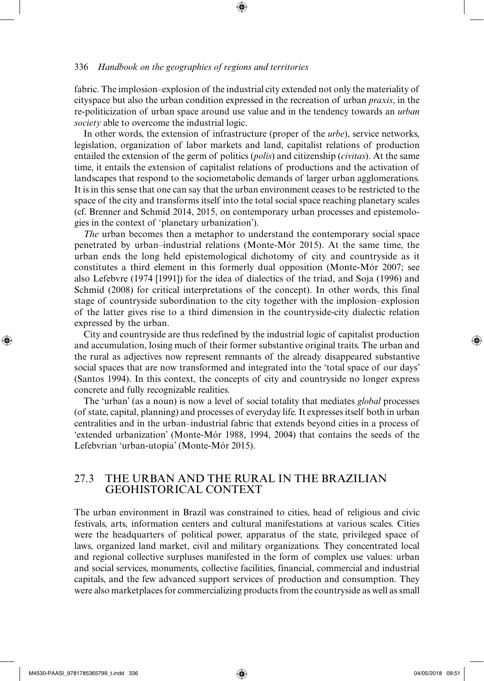fabric. The implosion–explosion of the industrial city extended not only the materiality of cityspace but also the urban condition expressed in the recreation of urban *praxis*, in the re-politicization of urban space around use value and in the tendency towards an *urban society* able to overcome the industrial logic.

⊕

In other words, the extension of infrastructure (proper of the *urbe*), service networks, legislation, organization of labor markets and land, capitalist relations of production entailed the extension of the germ of politics (*polis*) and citizenship (*civitas*). At the same time, it entails the extension of capitalist relations of productions and the activation of landscapes that respond to the sociometabolic demands of larger urban agglomerations. It is in this sense that one can say that the urban environment ceases to be restricted to the space of the city and transforms itself into the total social space reaching planetary scales (cf. Brenner and Schmid 2014, 2015, on contemporary urban processes and epistemologies in the context of 'planetary urbanization').

*The* urban becomes then a metaphor to understand the contemporary social space penetrated by urban–industrial relations (Monte-Mór 2015). At the same time, the urban ends the long held epistemological dichotomy of city and countryside as it constitutes a third element in this formerly dual opposition (Monte-Mór 2007; see also Lefebvre (1974 [1991]) for the idea of dialectics of the triad, and Soja (1996) and Schmid (2008) for critical interpretations of the concept). In other words, this final stage of countryside subordination to the city together with the implosion–explosion of the latter gives rise to a third dimension in the countryside-city dialectic relation expressed by the urban.

City and countryside are thus redefined by the industrial logic of capitalist production and accumulation, losing much of their former substantive original traits. The urban and the rural as adjectives now represent remnants of the already disappeared substantive social spaces that are now transformed and integrated into the 'total space of our days' (Santos 1994). In this context, the concepts of city and countryside no longer express concrete and fully recognizable realities.

The 'urban' (as a noun) is now a level of social totality that mediates *global* processes (of state, capital, planning) and processes of everyday life. It expresses itself both in urban centralities and in the urban–industrial fabric that extends beyond cities in a process of 'extended urbanization' (Monte-Mór 1988, 1994, 2004) that contains the seeds of the Lefebvrian 'urban-utopia' (Monte-Mór 2015).

## 27.3 THE URBAN AND THE RURAL IN THE BRAZILIAN GEOHISTORICAL CONTEXT

The urban environment in Brazil was constrained to cities, head of religious and civic festivals, arts, information centers and cultural manifestations at various scales. Cities were the headquarters of political power, apparatus of the state, privileged space of laws, organized land market, civil and military organizations. They concentrated local and regional collective surpluses manifested in the form of complex use values: urban and social services, monuments, collective facilities, financial, commercial and industrial capitals, and the few advanced support services of production and consumption. They were also marketplaces for commercializing products from the countryside as well as small

◈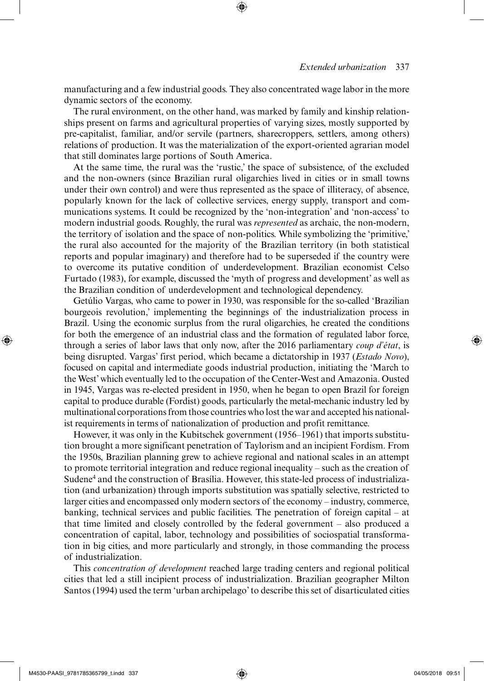manufacturing and a few industrial goods. They also concentrated wage labor in the more dynamic sectors of the economy.

⊕

The rural environment, on the other hand, was marked by family and kinship relationships present on farms and agricultural properties of varying sizes, mostly supported by pre-capitalist, familiar, and/or servile (partners, sharecroppers, settlers, among others) relations of production. It was the materialization of the export-oriented agrarian model that still dominates large portions of South America.

At the same time, the rural was the 'rustic,' the space of subsistence, of the excluded and the non-owners (since Brazilian rural oligarchies lived in cities or in small towns under their own control) and were thus represented as the space of illiteracy, of absence, popularly known for the lack of collective services, energy supply, transport and communications systems. It could be recognized by the 'non-integration' and 'non-access' to modern industrial goods. Roughly, the rural was *represented* as archaic, the non-modern, the territory of isolation and the space of non-politics. While symbolizing the 'primitive,' the rural also accounted for the majority of the Brazilian territory (in both statistical reports and popular imaginary) and therefore had to be superseded if the country were to overcome its putative condition of underdevelopment. Brazilian economist Celso Furtado (1983), for example, discussed the 'myth of progress and development' as well as the Brazilian condition of underdevelopment and technological dependency.

Getúlio Vargas, who came to power in 1930, was responsible for the so-called 'Brazilian bourgeois revolution,' implementing the beginnings of the industrialization process in Brazil. Using the economic surplus from the rural oligarchies, he created the conditions for both the emergence of an industrial class and the formation of regulated labor force, through a series of labor laws that only now, after the 2016 parliamentary *coup d'état*, is being disrupted. Vargas' first period, which became a dictatorship in 1937 (*Estado Novo*), focused on capital and intermediate goods industrial production, initiating the 'March to the West' which eventually led to the occupation of the Center-West and Amazonia. Ousted in 1945, Vargas was re-elected president in 1950, when he began to open Brazil for foreign capital to produce durable (Fordist) goods, particularly the metal-mechanic industry led by multinational corporations from those countries who lost the war and accepted his nationalist requirements in terms of nationalization of production and profit remittance.

However, it was only in the Kubitschek government (1956–1961) that imports substitution brought a more significant penetration of Taylorism and an incipient Fordism. From the 1950s, Brazilian planning grew to achieve regional and national scales in an attempt to promote territorial integration and reduce regional inequality – such as the creation of Sudene<sup>4</sup> and the construction of Brasília. However, this state-led process of industrialization (and urbanization) through imports substitution was spatially selective, restricted to larger cities and encompassed only modern sectors of the economy – industry, commerce, banking, technical services and public facilities. The penetration of foreign capital – at that time limited and closely controlled by the federal government – also produced a concentration of capital, labor, technology and possibilities of sociospatial transformation in big cities, and more particularly and strongly, in those commanding the process of industrialization.

This *concentration of development* reached large trading centers and regional political cities that led a still incipient process of industrialization. Brazilian geographer Milton Santos (1994) used the term 'urban archipelago' to describe this set of disarticulated cities

◈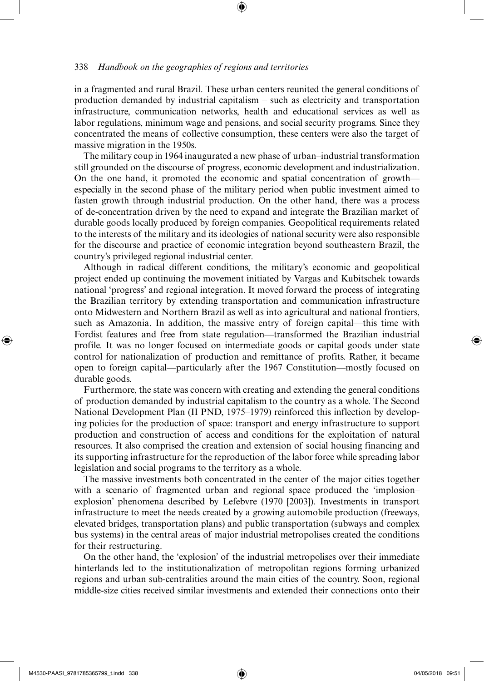in a fragmented and rural Brazil. These urban centers reunited the general conditions of production demanded by industrial capitalism – such as electricity and transportation infrastructure, communication networks, health and educational services as well as labor regulations, minimum wage and pensions, and social security programs. Since they concentrated the means of collective consumption, these centers were also the target of massive migration in the 1950s.

⊕

The military coup in 1964 inaugurated a new phase of urban–industrial transformation still grounded on the discourse of progress, economic development and industrialization. On the one hand, it promoted the economic and spatial concentration of growth especially in the second phase of the military period when public investment aimed to fasten growth through industrial production. On the other hand, there was a process of de-concentration driven by the need to expand and integrate the Brazilian market of durable goods locally produced by foreign companies. Geopolitical requirements related to the interests of the military and its ideologies of national security were also responsible for the discourse and practice of economic integration beyond southeastern Brazil, the country's privileged regional industrial center.

Although in radical different conditions, the military's economic and geopolitical project ended up continuing the movement initiated by Vargas and Kubitschek towards national 'progress' and regional integration. It moved forward the process of integrating the Brazilian territory by extending transportation and communication infrastructure onto Midwestern and Northern Brazil as well as into agricultural and national frontiers, such as Amazonia. In addition, the massive entry of foreign capital—this time with Fordist features and free from state regulation—transformed the Brazilian industrial profile. It was no longer focused on intermediate goods or capital goods under state control for nationalization of production and remittance of profits. Rather, it became open to foreign capital—particularly after the 1967 Constitution—mostly focused on durable goods.

Furthermore, the state was concern with creating and extending the general conditions of production demanded by industrial capitalism to the country as a whole. The Second National Development Plan (II PND, 1975–1979) reinforced this inflection by developing policies for the production of space: transport and energy infrastructure to support production and construction of access and conditions for the exploitation of natural resources. It also comprised the creation and extension of social housing financing and its supporting infrastructure for the reproduction of the labor force while spreading labor legislation and social programs to the territory as a whole.

The massive investments both concentrated in the center of the major cities together with a scenario of fragmented urban and regional space produced the 'implosionexplosion' phenomena described by Lefebvre (1970 [2003]). Investments in transport infrastructure to meet the needs created by a growing automobile production (freeways, elevated bridges, transportation plans) and public transportation (subways and complex bus systems) in the central areas of major industrial metropolises created the conditions for their restructuring.

On the other hand, the 'explosion' of the industrial metropolises over their immediate hinterlands led to the institutionalization of metropolitan regions forming urbanized regions and urban sub-centralities around the main cities of the country. Soon, regional middle-size cities received similar investments and extended their connections onto their

◈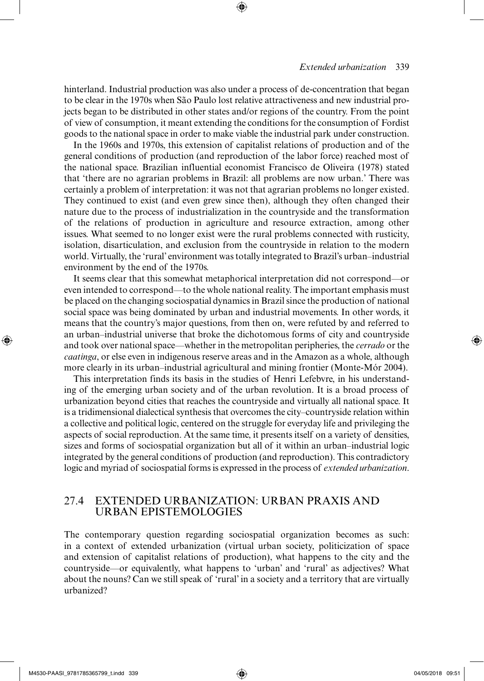#### *Extended urbanization* 339

hinterland. Industrial production was also under a process of de-concentration that began to be clear in the 1970s when São Paulo lost relative attractiveness and new industrial projects began to be distributed in other states and/or regions of the country. From the point of view of consumption, it meant extending the conditions for the consumption of Fordist goods to the national space in order to make viable the industrial park under construction.

⊕

In the 1960s and 1970s, this extension of capitalist relations of production and of the general conditions of production (and reproduction of the labor force) reached most of the national space. Brazilian influential economist Francisco de Oliveira (1978) stated that 'there are no agrarian problems in Brazil: all problems are now urban.' There was certainly a problem of interpretation: it was not that agrarian problems no longer existed. They continued to exist (and even grew since then), although they often changed their nature due to the process of industrialization in the countryside and the transformation of the relations of production in agriculture and resource extraction, among other issues. What seemed to no longer exist were the rural problems connected with rusticity, isolation, disarticulation, and exclusion from the countryside in relation to the modern world. Virtually, the 'rural' environment was totally integrated to Brazil's urban–industrial environment by the end of the 1970s.

It seems clear that this somewhat metaphorical interpretation did not correspond—or even intended to correspond—to the whole national reality. The important emphasis must be placed on the changing sociospatial dynamics in Brazil since the production of national social space was being dominated by urban and industrial movements. In other words, it means that the country's major questions, from then on, were refuted by and referred to an urban–industrial universe that broke the dichotomous forms of city and countryside and took over national space—whether in the metropolitan peripheries, the *cerrado* or the *caatinga*, or else even in indigenous reserve areas and in the Amazon as a whole, although more clearly in its urban–industrial agricultural and mining frontier (Monte-Mór 2004).

This interpretation finds its basis in the studies of Henri Lefebvre, in his understanding of the emerging urban society and of the urban revolution. It is a broad process of urbanization beyond cities that reaches the countryside and virtually all national space. It is a tridimensional dialectical synthesis that overcomes the city–countryside relation within a collective and political logic, centered on the struggle for everyday life and privileging the aspects of social reproduction. At the same time, it presents itself on a variety of densities, sizes and forms of sociospatial organization but all of it within an urban–industrial logic integrated by the general conditions of production (and reproduction). This contradictory logic and myriad of sociospatial forms is expressed in the process of *extended urbanization*.

## 27.4 EXTENDED URBANIZATION: URBAN PRAXIS AND URBAN EPISTEMOLOGIES

The contemporary question regarding sociospatial organization becomes as such: in a context of extended urbanization (virtual urban society, politicization of space and extension of capitalist relations of production), what happens to the city and the countryside—or equivalently, what happens to 'urban' and 'rural' as adjectives? What about the nouns? Can we still speak of 'rural' in a society and a territory that are virtually urbanized?

◈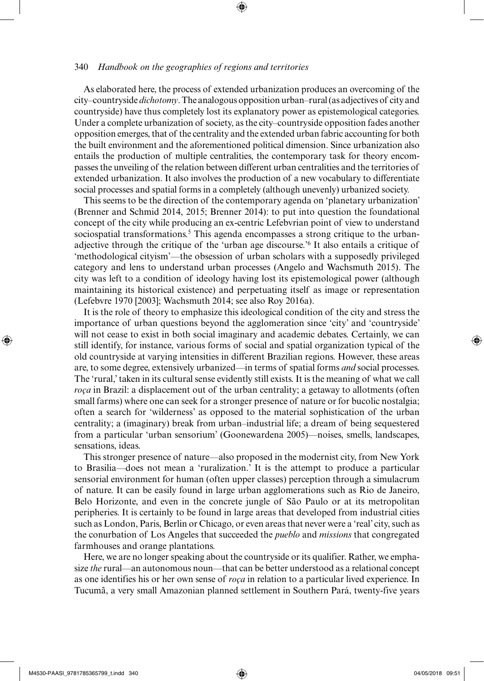As elaborated here, the process of extended urbanization produces an overcoming of the city–countryside *dichotomy*. The analogous opposition urban–rural (as adjectives of city and countryside) have thus completely lost its explanatory power as epistemological categories. Under a complete urbanization of society, as the city–countryside opposition fades another opposition emerges, that of the centrality and the extended urban fabric accounting for both the built environment and the aforementioned political dimension. Since urbanization also entails the production of multiple centralities, the contemporary task for theory encompasses the unveiling of the relation between different urban centralities and the territories of extended urbanization. It also involves the production of a new vocabulary to differentiate social processes and spatial forms in a completely (although unevenly) urbanized society.

⊕

This seems to be the direction of the contemporary agenda on 'planetary urbanization' (Brenner and Schmid 2014, 2015; Brenner 2014): to put into question the foundational concept of the city while producing an ex-centric Lefebvrian point of view to understand sociospatial transformations.<sup>5</sup> This agenda encompasses a strong critique to the urbanadjective through the critique of the 'urban age discourse.'6 It also entails a critique of 'methodological cityism'—the obsession of urban scholars with a supposedly privileged category and lens to understand urban processes (Angelo and Wachsmuth 2015). The city was left to a condition of ideology having lost its epistemological power (although maintaining its historical existence) and perpetuating itself as image or representation (Lefebvre 1970 [2003]; Wachsmuth 2014; see also Roy 2016a).

It is the role of theory to emphasize this ideological condition of the city and stress the importance of urban questions beyond the agglomeration since 'city' and 'countryside' will not cease to exist in both social imaginary and academic debates. Certainly, we can still identify, for instance, various forms of social and spatial organization typical of the old countryside at varying intensities in different Brazilian regions. However, these areas are, to some degree, extensively urbanized—in terms of spatial forms *and* social processes. The 'rural,' taken in its cultural sense evidently still exists. It is the meaning of what we call *roça* in Brazil: a displacement out of the urban centrality; a getaway to allotments (often small farms) where one can seek for a stronger presence of nature or for bucolic nostalgia; often a search for 'wilderness' as opposed to the material sophistication of the urban centrality; a (imaginary) break from urban–industrial life; a dream of being sequestered from a particular 'urban sensorium' (Goonewardena 2005)—noises, smells, landscapes, sensations, ideas.

This stronger presence of nature—also proposed in the modernist city, from New York to Brasilia—does not mean a 'ruralization.' It is the attempt to produce a particular sensorial environment for human (often upper classes) perception through a simulacrum of nature. It can be easily found in large urban agglomerations such as Rio de Janeiro, Belo Horizonte, and even in the concrete jungle of São Paulo or at its metropolitan peripheries. It is certainly to be found in large areas that developed from industrial cities such as London, Paris, Berlin or Chicago, or even areas that never were a 'real' city, such as the conurbation of Los Angeles that succeeded the *pueblo* and *missions* that congregated farmhouses and orange plantations.

Here, we are no longer speaking about the countryside or its qualifier. Rather, we emphasize *the* rural—an autonomous noun—that can be better understood as a relational concept as one identifies his or her own sense of *roça* in relation to a particular lived experience. In Tucumã, a very small Amazonian planned settlement in Southern Pará, twenty-five years

◈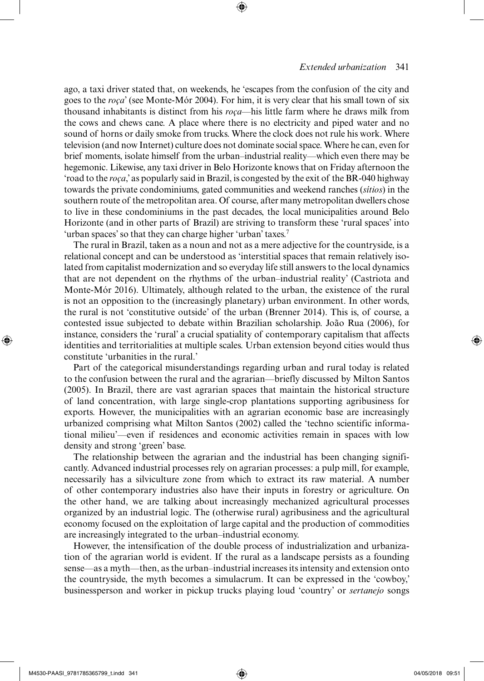### *Extended urbanization* 341

ago, a taxi driver stated that, on weekends, he 'escapes from the confusion of the city and goes to the *roça*' (see Monte-Mór 2004). For him, it is very clear that his small town of six thousand inhabitants is distinct from his *roça—*his little farm where he draws milk from the cows and chews cane. A place where there is no electricity and piped water and no sound of horns or daily smoke from trucks. Where the clock does not rule his work. Where television (and now Internet) culture does not dominate social space. Where he can, even for brief moments, isolate himself from the urban–industrial reality—which even there may be hegemonic. Likewise, any taxi driver in Belo Horizonte knows that on Friday afternoon the 'road to the *roça*,' as popularly said in Brazil, is congested by the exit of the BR-040 highway towards the private condominiums, gated communities and weekend ranches (*sítios*) in the southern route of the metropolitan area. Of course, after many metropolitan dwellers chose to live in these condominiums in the past decades, the local municipalities around Belo Horizonte (and in other parts of Brazil) are striving to transform these 'rural spaces' into 'urban spaces' so that they can charge higher 'urban' taxes.7

⊕

The rural in Brazil, taken as a noun and not as a mere adjective for the countryside, is a relational concept and can be understood as 'interstitial spaces that remain relatively isolated from capitalist modernization and so everyday life still answers to the local dynamics that are not dependent on the rhythms of the urban–industrial reality' (Castriota and Monte-Mór 2016). Ultimately, although related to the urban, the existence of the rural is not an opposition to the (increasingly planetary) urban environment. In other words, the rural is not 'constitutive outside' of the urban (Brenner 2014). This is, of course, a contested issue subjected to debate within Brazilian scholarship. João Rua (2006), for instance, considers the 'rural' a crucial spatiality of contemporary capitalism that affects identities and territorialities at multiple scales. Urban extension beyond cities would thus constitute 'urbanities in the rural.'

Part of the categorical misunderstandings regarding urban and rural today is related to the confusion between the rural and the agrarian—briefly discussed by Milton Santos (2005). In Brazil, there are vast agrarian spaces that maintain the historical structure of land concentration, with large single-crop plantations supporting agribusiness for exports. However, the municipalities with an agrarian economic base are increasingly urbanized comprising what Milton Santos (2002) called the 'techno scientific informational milieu'—even if residences and economic activities remain in spaces with low density and strong 'green' base.

The relationship between the agrarian and the industrial has been changing significantly. Advanced industrial processes rely on agrarian processes: a pulp mill, for example, necessarily has a silviculture zone from which to extract its raw material. A number of other contemporary industries also have their inputs in forestry or agriculture. On the other hand, we are talking about increasingly mechanized agricultural processes organized by an industrial logic. The (otherwise rural) agribusiness and the agricultural economy focused on the exploitation of large capital and the production of commodities are increasingly integrated to the urban–industrial economy.

However, the intensification of the double process of industrialization and urbanization of the agrarian world is evident. If the rural as a landscape persists as a founding sense—as a myth—then, as the urban–industrial increases its intensity and extension onto the countryside, the myth becomes a simulacrum. It can be expressed in the 'cowboy,' businessperson and worker in pickup trucks playing loud 'country' or *sertanejo* songs

⊕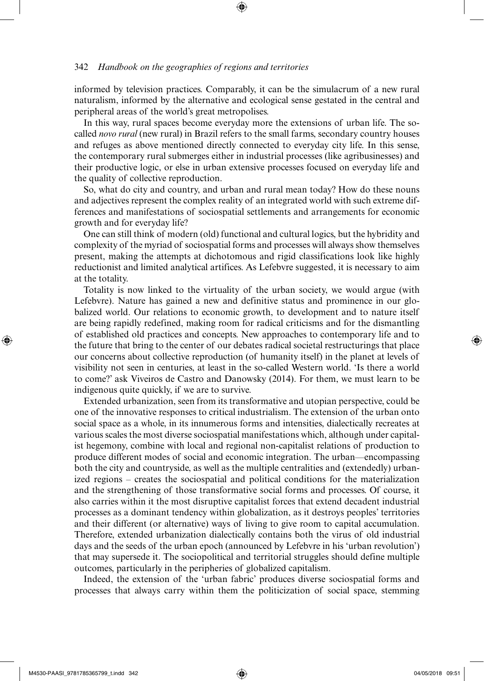informed by television practices. Comparably, it can be the simulacrum of a new rural naturalism, informed by the alternative and ecological sense gestated in the central and peripheral areas of the world's great metropolises.

⊕

In this way, rural spaces become everyday more the extensions of urban life. The socalled *novo rural* (new rural) in Brazil refers to the small farms, secondary country houses and refuges as above mentioned directly connected to everyday city life. In this sense, the contemporary rural submerges either in industrial processes (like agribusinesses) and their productive logic, or else in urban extensive processes focused on everyday life and the quality of collective reproduction.

So, what do city and country, and urban and rural mean today? How do these nouns and adjectives represent the complex reality of an integrated world with such extreme differences and manifestations of sociospatial settlements and arrangements for economic growth and for everyday life?

One can still think of modern (old) functional and cultural logics, but the hybridity and complexity of the myriad of sociospatial forms and processes will always show themselves present, making the attempts at dichotomous and rigid classifications look like highly reductionist and limited analytical artifices. As Lefebvre suggested, it is necessary to aim at the totality.

Totality is now linked to the virtuality of the urban society, we would argue (with Lefebvre). Nature has gained a new and definitive status and prominence in our globalized world. Our relations to economic growth, to development and to nature itself are being rapidly redefined, making room for radical criticisms and for the dismantling of established old practices and concepts. New approaches to contemporary life and to the future that bring to the center of our debates radical societal restructurings that place our concerns about collective reproduction (of humanity itself) in the planet at levels of visibility not seen in centuries, at least in the so-called Western world. 'Is there a world to come?' ask Viveiros de Castro and Danowsky (2014). For them, we must learn to be indigenous quite quickly, if we are to survive.

Extended urbanization, seen from its transformative and utopian perspective, could be one of the innovative responses to critical industrialism. The extension of the urban onto social space as a whole, in its innumerous forms and intensities, dialectically recreates at various scales the most diverse sociospatial manifestations which, although under capitalist hegemony, combine with local and regional non-capitalist relations of production to produce different modes of social and economic integration. The urban—encompassing both the city and countryside, as well as the multiple centralities and (extendedly) urbanized regions – creates the sociospatial and political conditions for the materialization and the strengthening of those transformative social forms and processes. Of course, it also carries within it the most disruptive capitalist forces that extend decadent industrial processes as a dominant tendency within globalization, as it destroys peoples' territories and their different (or alternative) ways of living to give room to capital accumulation. Therefore, extended urbanization dialectically contains both the virus of old industrial days and the seeds of the urban epoch (announced by Lefebvre in his 'urban revolution') that may supersede it. The sociopolitical and territorial struggles should define multiple outcomes, particularly in the peripheries of globalized capitalism.

Indeed, the extension of the 'urban fabric' produces diverse sociospatial forms and processes that always carry within them the politicization of social space, stemming

◈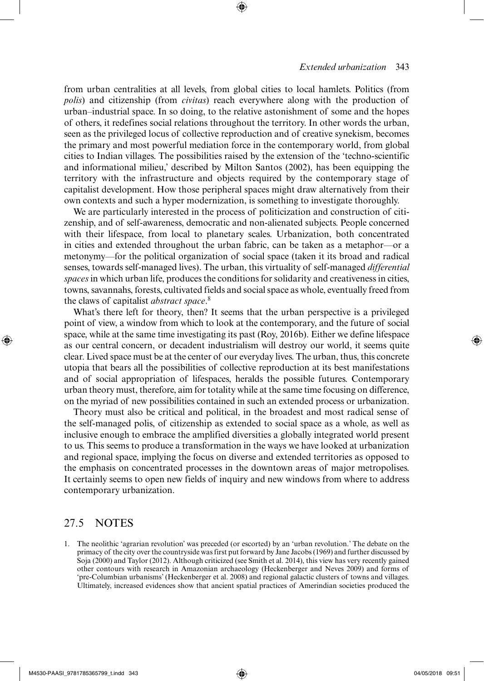from urban centralities at all levels, from global cities to local hamlets. Politics (from *polis*) and citizenship (from *civitas*) reach everywhere along with the production of urban–industrial space. In so doing, to the relative astonishment of some and the hopes of others, it redefines social relations throughout the territory. In other words the urban, seen as the privileged locus of collective reproduction and of creative synekism, becomes the primary and most powerful mediation force in the contemporary world, from global cities to Indian villages. The possibilities raised by the extension of the 'techno-scientific and informational milieu,' described by Milton Santos (2002), has been equipping the territory with the infrastructure and objects required by the contemporary stage of capitalist development. How those peripheral spaces might draw alternatively from their own contexts and such a hyper modernization, is something to investigate thoroughly.

We are particularly interested in the process of politicization and construction of citizenship, and of self-awareness, democratic and non-alienated subjects. People concerned with their lifespace, from local to planetary scales. Urbanization, both concentrated in cities and extended throughout the urban fabric, can be taken as a metaphor—or a metonymy—for the political organization of social space (taken it its broad and radical senses, towards self-managed lives). The urban, this virtuality of self-managed *differential spaces* in which urban life, produces the conditions for solidarity and creativeness in cities, towns, savannahs, forests, cultivated fields and social space as whole, eventually freed from the claws of capitalist *abstract space*. 8

What's there left for theory, then? It seems that the urban perspective is a privileged point of view, a window from which to look at the contemporary, and the future of social space, while at the same time investigating its past (Roy, 2016b). Either we define lifespace as our central concern, or decadent industrialism will destroy our world, it seems quite clear. Lived space must be at the center of our everyday lives. The urban, thus, this concrete utopia that bears all the possibilities of collective reproduction at its best manifestations and of social appropriation of lifespaces, heralds the possible futures. Contemporary urban theory must, therefore, aim for totality while at the same time focusing on difference, on the myriad of new possibilities contained in such an extended process or urbanization.

Theory must also be critical and political, in the broadest and most radical sense of the self-managed polis, of citizenship as extended to social space as a whole, as well as inclusive enough to embrace the amplified diversities a globally integrated world present to us. This seems to produce a transformation in the ways we have looked at urbanization and regional space, implying the focus on diverse and extended territories as opposed to the emphasis on concentrated processes in the downtown areas of major metropolises. It certainly seems to open new fields of inquiry and new windows from where to address contemporary urbanization.

### 27.5 NOTES

⊕

1. The neolithic 'agrarian revolution' was preceded (or escorted) by an 'urban revolution.' The debate on the primacy of the city over the countryside was first put forward by Jane Jacobs (1969) and further discussed by Soja (2000) and Taylor (2012). Although criticized (see Smith et al. 2014), this view has very recently gained other contours with research in Amazonian archaeology (Heckenberger and Neves 2009) and forms of 'pre-Columbian urbanisms' (Heckenberger et al. 2008) and regional galactic clusters of towns and villages. Ultimately, increased evidences show that ancient spatial practices of Amerindian societies produced the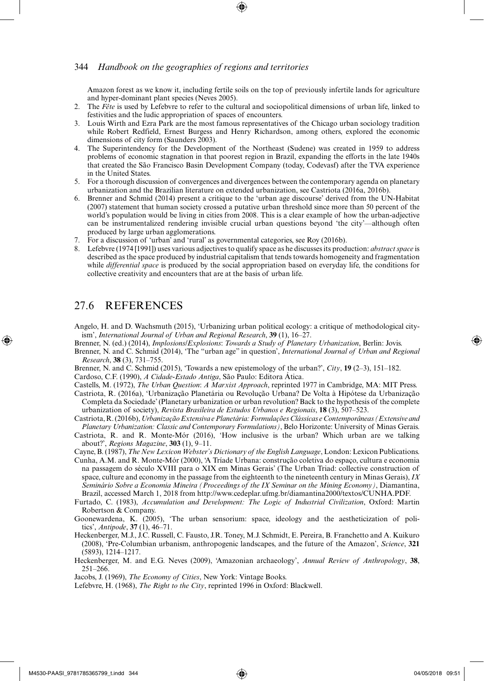Amazon forest as we know it, including fertile soils on the top of previously infertile lands for agriculture and hyper-dominant plant species (Neves 2005).

- 2. The *Fête* is used by Lefebvre to refer to the cultural and sociopolitical dimensions of urban life, linked to festivities and the ludic appropriation of spaces of encounters.
- 3. Louis Wirth and Ezra Park are the most famous representatives of the Chicago urban sociology tradition while Robert Redfield, Ernest Burgess and Henry Richardson, among others, explored the economic dimensions of city form (Saunders 2003).
- 4. The Superintendency for the Development of the Northeast (Sudene) was created in 1959 to address problems of economic stagnation in that poorest region in Brazil, expanding the efforts in the late 1940s that created the São Francisco Basin Development Company (today, Codevasf) after the TVA experience in the United States.
- 5. For a thorough discussion of convergences and divergences between the contemporary agenda on planetary urbanization and the Brazilian literature on extended urbanization, see Castriota (2016a, 2016b).
- 6. Brenner and Schmid (2014) present a critique to the 'urban age discourse' derived from the UN-Habitat (2007) statement that human society crossed a putative urban threshold since more than 50 percent of the world's population would be living in cities from 2008. This is a clear example of how the urban-adjective can be instrumentalized rendering invisible crucial urban questions beyond 'the city'—although often produced by large urban agglomerations.
- 7. For a discussion of 'urban' and 'rural' as governmental categories, see Roy (2016b).
- 8. Lefebvre (1974 [1991]) uses various adjectives to qualify space as he discusses its production: *abstract space* is described as the space produced by industrial capitalism that tends towards homogeneity and fragmentation while *differential space* is produced by the social appropriation based on everyday life, the conditions for collective creativity and encounters that are at the basis of urban life.

## 27.6 REFERENCES

⊕

Angelo, H. and D. Wachsmuth (2015), 'Urbanizing urban political ecology: a critique of methodological cityism', *International Journal of Urban and Regional Research*, 39 (1), 16–27.

Brenner, N. (ed.) (2014), *Implosions/Explosions*: *Towards a Study of Planetary Urbanization*, Berlin: Jovis.

Brenner, N. and C. Schmid (2014), 'The "urban age" in question', *International Journal of Urban and Regional Research*, **38** (3), 731‒755.

Brenner, N. and C. Schmid (2015), 'Towards a new epistemology of the urban?', *City*, **19** (2–3), 151–182.

Cardoso, C.F. (1990), *A Cidade-Estado Antiga*, São Paulo: Editora Ática.

Castells, M. (1972), *The Urban Question*: *A Marxist Approach*, reprinted 1977 in Cambridge, MA: MIT Press.

Castriota, R. (2016a), 'Urbanização Planetária ou Revolução Urbana? De Volta à Hipótese da Urbanização Completa da Sociedade' (Planetary urbanization or urban revolution? Back to the hypothesis of the complete urbanization of society), *Revista Brasileira de Estudos Urbanos e Regionais*, **18** (3), 507‒523.

Castriota, R. (2016b), *UrbanizaçãoExtensiva ePlanetária:FormulaçõesClássicas eContemporâneas (Extensive and Planetary Urbanization: Classic and Contemporary Formulations)*, Belo Horizonte: University of Minas Gerais.

Castriota, R. and R. Monte-Mór (2016), 'How inclusive is the urban? Which urban are we talking about?', *Regions Magazine*, **303** (1), 9‒11.

Cayne, B. (1987), *The New Lexicon Webster's Dictionary of the English Language*, London: Lexicon Publications. Cunha, A.M. and R. Monte-Mór (2000), 'A Tríade Urbana: construção coletiva do espaço, cultura e economia na passagem do século XVIII para o XIX em Minas Gerais' (The Urban Triad: collective construction of space, culture and economy in the passage from the eighteenth to the nineteenth century in Minas Gerais), *IX Seminário Sobre a Economia Mineira (Proceedings of the IX Seminar on the Mining Economy)*, Diamantina, Brazil, accessed March 1, 2018 from http://www.cedeplar.ufmg.br/diamantina2000/textos/CUNHA.PDF.

Furtado, C. (1983), *Accumulation and Development: The Logic of Industrial Civilization*, Oxford: Martin Robertson & Company.

Goonewardena, K. (2005), 'The urban sensorium: space, ideology and the aestheticization of politics', *Antipode*, **37** (1), 46‒71.

Heckenberger, M.J., J.C. Russell, C. Fausto, J.R. Toney, M.J. Schmidt, E. Pereira, B. Franchetto and A. Kuikuro (2008), 'Pre-Columbian urbanism, anthropogenic landscapes, and the future of the Amazon', *Science*, **321** (5893), 1214‒1217.

Heckenberger, M. and E.G. Neves (2009), 'Amazonian archaeology', *Annual Review of Anthropology*, **38**,  $251 - 266$ .

Jacobs, J. (1969), *The Economy of Cities*, New York: Vintage Books.

Lefebvre, H. (1968), *The Right to the City*, reprinted 1996 in Oxford: Blackwell.